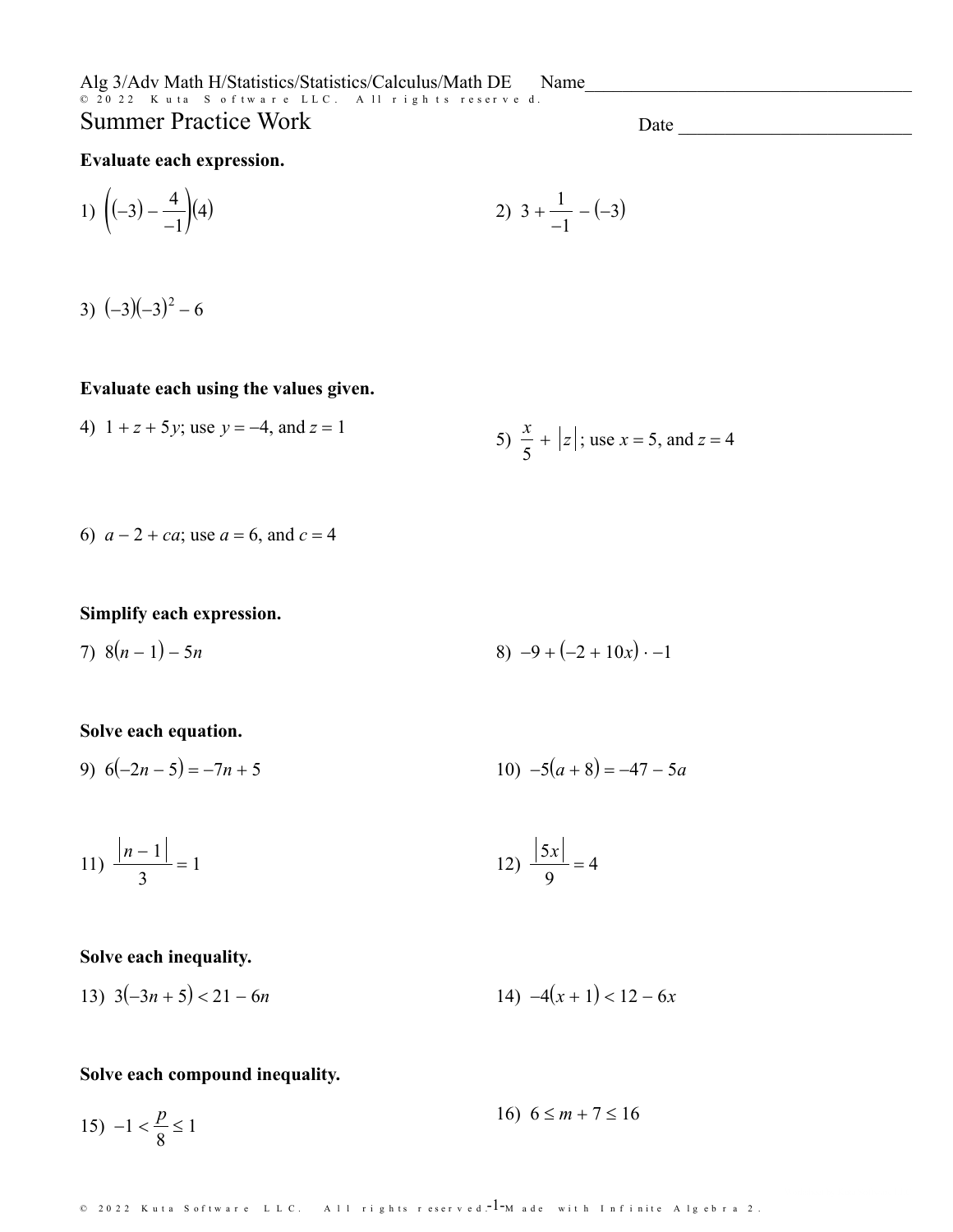Alg 3/Adv Math H/Statistics/Statistics/Calculus/Math DE Name **Summer Practice Work** 

Date and the state of the state of the state of the state of the state of the state of the state of the state of the state of the state of the state of the state of the state of the state of the state of the state of the s

#### Evaluate each expression.

1) 
$$
\left( (-3) - \frac{4}{-1} \right)\left( 4 \right)
$$
 2)  $3 + \frac{1}{-1} - (-3)$ 

 $(-3)(-3)(-3)^2 - 6$ 

### Evaluate each using the values given.

4) 
$$
1 + z + 5y
$$
; use  $y = -4$ , and  $z = 1$   
5)  $\frac{x}{5} + |z|$ ; use  $x = 5$ , and  $z = 4$ 

6) 
$$
a - 2 + ca
$$
; use  $a = 6$ , and  $c = 4$ 

#### Simplify each expression.

7) 
$$
8(n-1) - 5n
$$
 8)  $-9 + (-2 + 10x) \cdot -1$ 

### Solve each equation.

10)  $-5(a+8) = -47 - 5a$ 9)  $6(-2n-5) = -7n + 5$ 

11) 
$$
\frac{|n-1|}{3} = 1
$$
 12)  $\frac{|5x|}{9} = 4$ 

#### Solve each inequality.

13) 
$$
3(-3n+5) < 21 - 6n
$$
 14)  $-4(x+1) < 12 - 6x$ 

#### Solve each compound inequality.

16)  $6 \le m + 7 \le 16$ 15)  $-1 < \frac{p}{8} \le 1$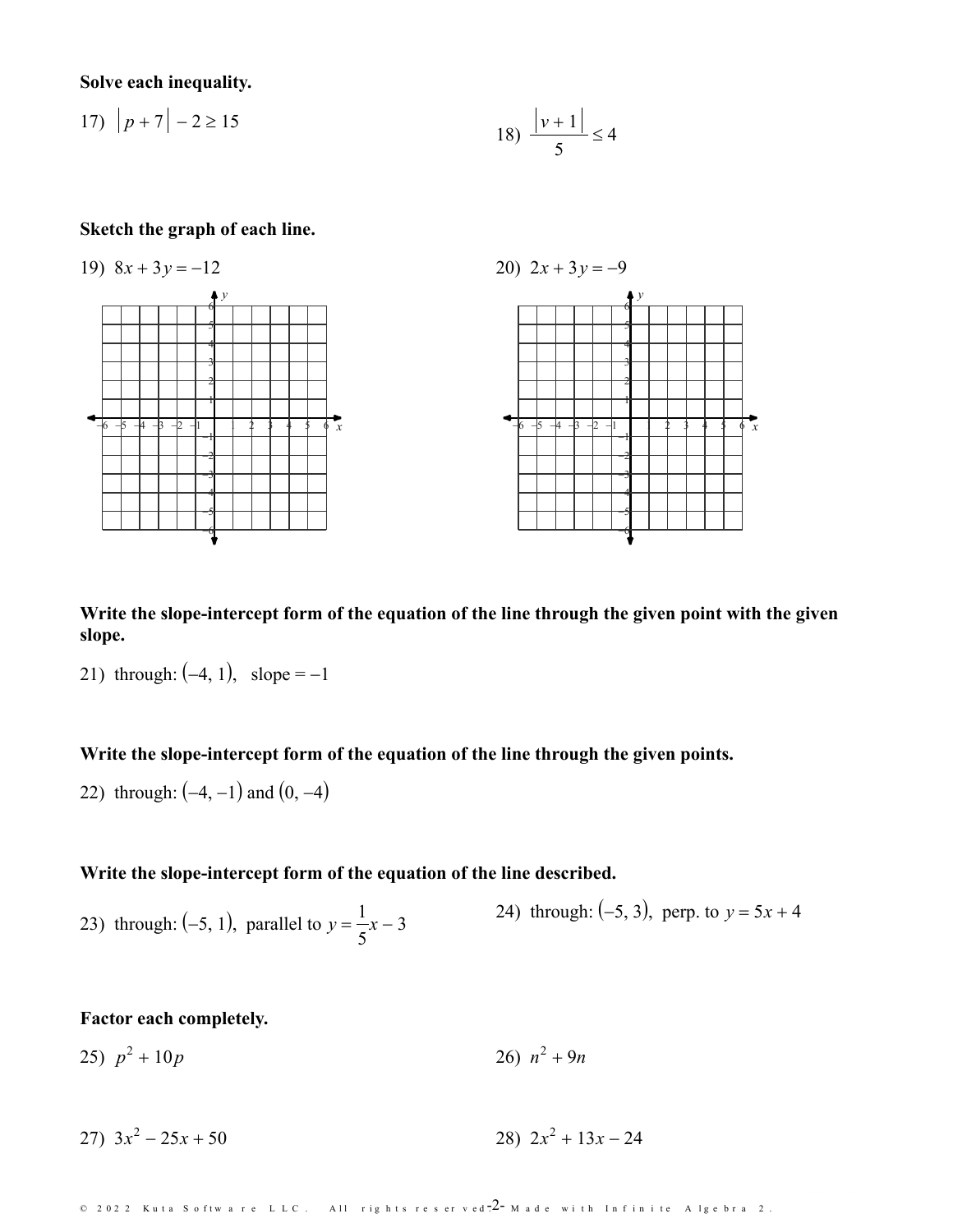**Solve each inequality.**

17) 
$$
|p+7| - 2 \ge 15
$$
  
18)  $\frac{|v+1|}{5} \le 4$ 

#### **Sketch the graph of each line.**



**Write the slope-intercept form of the equation of the line through the given point with the given slope.**

21) through:  $(-4, 1)$ , slope =  $-1$ 

#### **Write the slope-intercept form of the equation of the line through the given points.**

22) through:  $(-4, -1)$  and  $(0, -4)$ 

### **Write the slope-intercept form of the equation of the line described.**

23) through: (-5, 1), parallel to  $y = \frac{1}{x}x - 3$  (24) the 5  $x-3$  2*i*, anough 24) through:  $(-5, 3)$ , perp. to  $y = 5x + 4$ 

# **Factor each completely.**

25)  $p^2 + 10p$  $2^2 + 10p$  26)  $n^2 + 9n$ 

27)  $3x^2 - 25x + 50$  $2^2 - 25x + 50$  28)  $2x^2 + 13x - 24$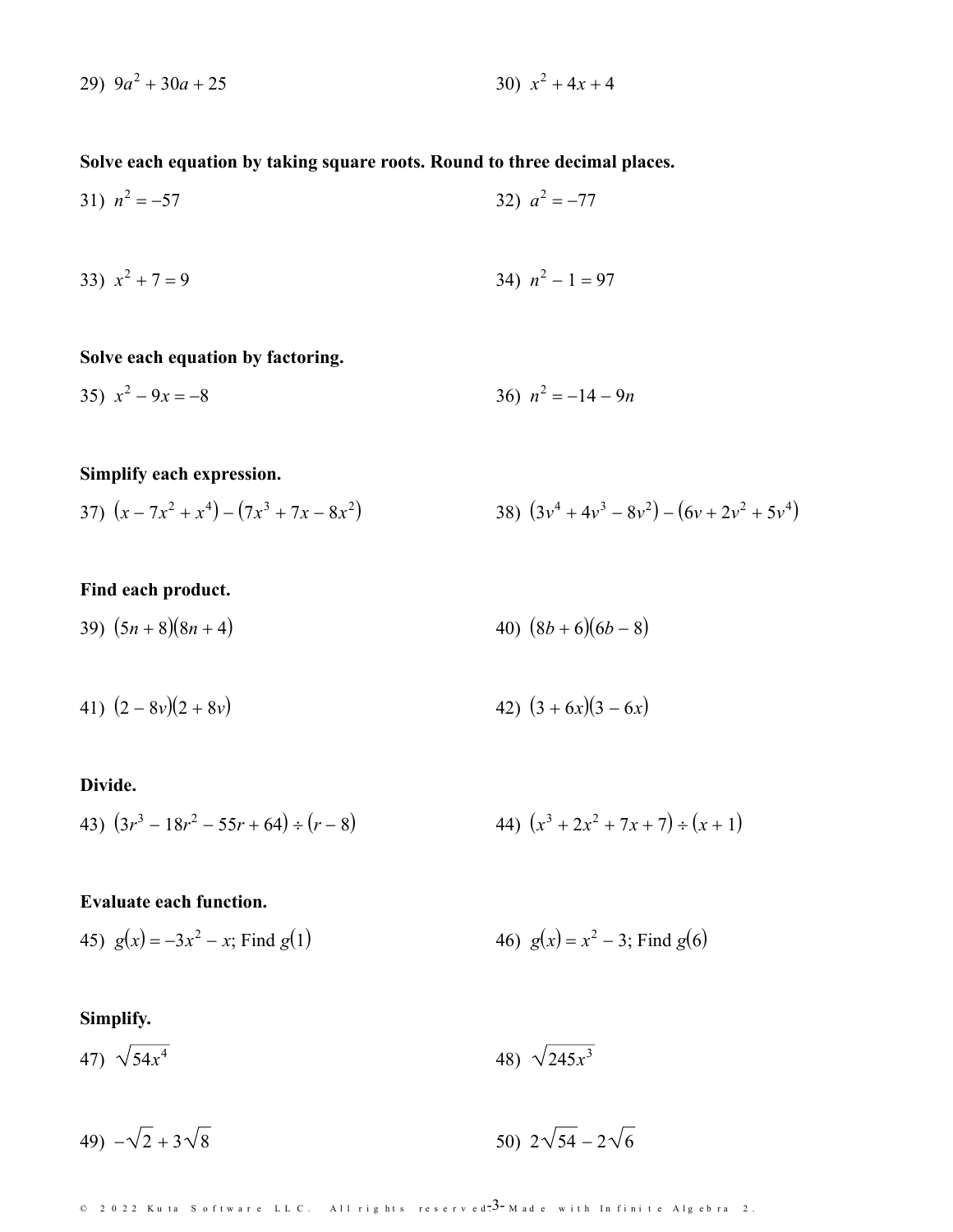$$
29) \t9a^2 + 30a + 25 \t\t\t 30) \t x^2 + 4x + 4
$$

# Solve each equation by taking square roots. Round to three decimal places.

31) 
$$
n^2 = -57
$$
 32)  $a^2 = -77$ 

33) 
$$
x^2 + 7 = 9
$$
  
34)  $n^2 - 1 = 97$ 

### Solve each equation by factoring.

35) 
$$
x^2 - 9x = -8
$$
  
36)  $n^2 = -14 - 9n$ 

# Simplify each expression.

37) 
$$
(x - 7x^2 + x^4) - (7x^3 + 7x - 8x^2)
$$
  
38)  $(3v^4 + 4v^3 - 8v^2) - (6v + 2v^2 + 5v^4)$ 

# Find each product.

- 39)  $(5n+8)(8n+4)$ 40)  $(8b+6)(6b-8)$
- 41)  $(2 8v)(2 + 8v)$ 42)  $(3 + 6x)(3 - 6x)$

### Divide.

43) 
$$
(3r^3 - 18r^2 - 55r + 64) \div (r - 8)
$$
  
44)  $(x^3 + 2x^2 + 7x + 7) \div (x + 1)$ 

### **Evaluate each function.**

45) 
$$
g(x) = -3x^2 - x
$$
; Find  $g(1)$   
46)  $g(x) = x^2 - 3$ ; Find  $g(6)$ 

# Simplify.

47)  $\sqrt{54x^4}$ 48)  $\sqrt{245x^3}$ 

50)  $2\sqrt{54} - 2\sqrt{6}$ 49)  $-\sqrt{2} + 3\sqrt{8}$